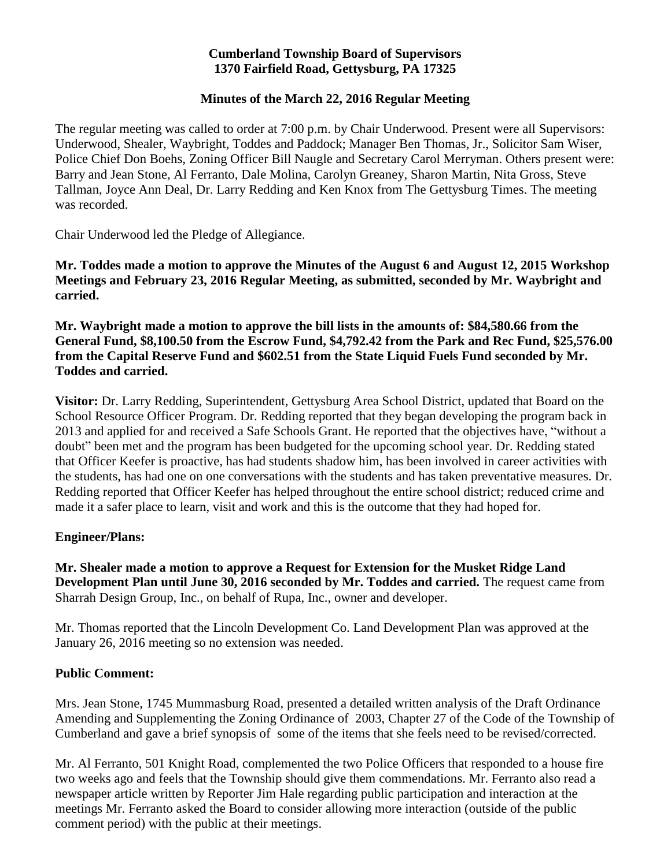### **Cumberland Township Board of Supervisors 1370 Fairfield Road, Gettysburg, PA 17325**

## **Minutes of the March 22, 2016 Regular Meeting**

The regular meeting was called to order at 7:00 p.m. by Chair Underwood. Present were all Supervisors: Underwood, Shealer, Waybright, Toddes and Paddock; Manager Ben Thomas, Jr., Solicitor Sam Wiser, Police Chief Don Boehs, Zoning Officer Bill Naugle and Secretary Carol Merryman. Others present were: Barry and Jean Stone, Al Ferranto, Dale Molina, Carolyn Greaney, Sharon Martin, Nita Gross, Steve Tallman, Joyce Ann Deal, Dr. Larry Redding and Ken Knox from The Gettysburg Times. The meeting was recorded.

Chair Underwood led the Pledge of Allegiance.

**Mr. Toddes made a motion to approve the Minutes of the August 6 and August 12, 2015 Workshop Meetings and February 23, 2016 Regular Meeting, as submitted, seconded by Mr. Waybright and carried.**

**Mr. Waybright made a motion to approve the bill lists in the amounts of: \$84,580.66 from the General Fund, \$8,100.50 from the Escrow Fund, \$4,792.42 from the Park and Rec Fund, \$25,576.00 from the Capital Reserve Fund and \$602.51 from the State Liquid Fuels Fund seconded by Mr. Toddes and carried.**

**Visitor:** Dr. Larry Redding, Superintendent, Gettysburg Area School District, updated that Board on the School Resource Officer Program. Dr. Redding reported that they began developing the program back in 2013 and applied for and received a Safe Schools Grant. He reported that the objectives have, "without a doubt" been met and the program has been budgeted for the upcoming school year. Dr. Redding stated that Officer Keefer is proactive, has had students shadow him, has been involved in career activities with the students, has had one on one conversations with the students and has taken preventative measures. Dr. Redding reported that Officer Keefer has helped throughout the entire school district; reduced crime and made it a safer place to learn, visit and work and this is the outcome that they had hoped for.

## **Engineer/Plans:**

**Mr. Shealer made a motion to approve a Request for Extension for the Musket Ridge Land Development Plan until June 30, 2016 seconded by Mr. Toddes and carried.** The request came from Sharrah Design Group, Inc., on behalf of Rupa, Inc., owner and developer.

Mr. Thomas reported that the Lincoln Development Co. Land Development Plan was approved at the January 26, 2016 meeting so no extension was needed.

#### **Public Comment:**

Mrs. Jean Stone, 1745 Mummasburg Road, presented a detailed written analysis of the Draft Ordinance Amending and Supplementing the Zoning Ordinance of 2003, Chapter 27 of the Code of the Township of Cumberland and gave a brief synopsis of some of the items that she feels need to be revised/corrected.

Mr. Al Ferranto, 501 Knight Road, complemented the two Police Officers that responded to a house fire two weeks ago and feels that the Township should give them commendations. Mr. Ferranto also read a newspaper article written by Reporter Jim Hale regarding public participation and interaction at the meetings Mr. Ferranto asked the Board to consider allowing more interaction (outside of the public comment period) with the public at their meetings.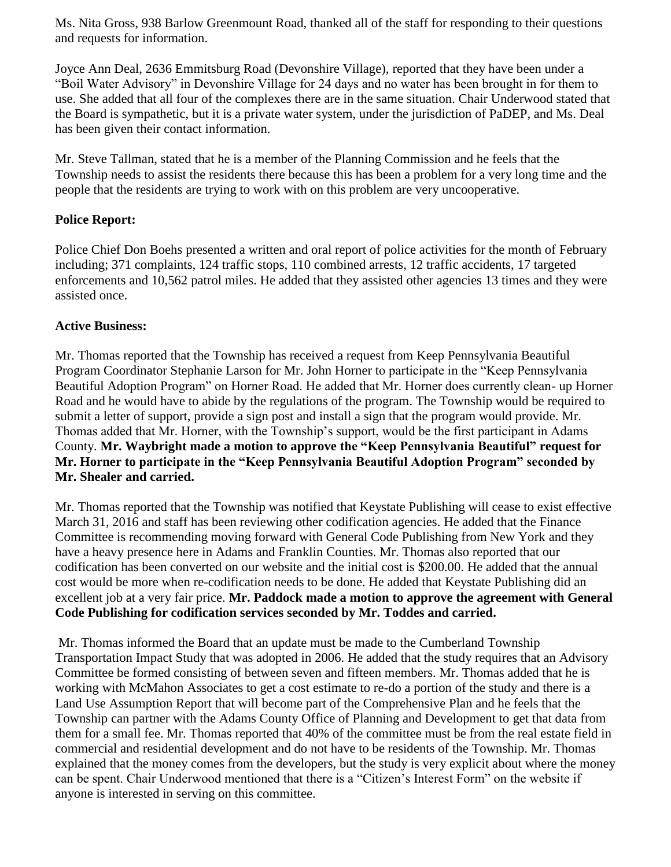Ms. Nita Gross, 938 Barlow Greenmount Road, thanked all of the staff for responding to their questions and requests for information.

Joyce Ann Deal, 2636 Emmitsburg Road (Devonshire Village), reported that they have been under a "Boil Water Advisory" in Devonshire Village for 24 days and no water has been brought in for them to use. She added that all four of the complexes there are in the same situation. Chair Underwood stated that the Board is sympathetic, but it is a private water system, under the jurisdiction of PaDEP, and Ms. Deal has been given their contact information.

Mr. Steve Tallman, stated that he is a member of the Planning Commission and he feels that the Township needs to assist the residents there because this has been a problem for a very long time and the people that the residents are trying to work with on this problem are very uncooperative.

## **Police Report:**

Police Chief Don Boehs presented a written and oral report of police activities for the month of February including; 371 complaints, 124 traffic stops, 110 combined arrests, 12 traffic accidents, 17 targeted enforcements and 10,562 patrol miles. He added that they assisted other agencies 13 times and they were assisted once.

## **Active Business:**

Mr. Thomas reported that the Township has received a request from Keep Pennsylvania Beautiful Program Coordinator Stephanie Larson for Mr. John Horner to participate in the "Keep Pennsylvania Beautiful Adoption Program" on Horner Road. He added that Mr. Horner does currently clean- up Horner Road and he would have to abide by the regulations of the program. The Township would be required to submit a letter of support, provide a sign post and install a sign that the program would provide. Mr. Thomas added that Mr. Horner, with the Township's support, would be the first participant in Adams County. **Mr. Waybright made a motion to approve the "Keep Pennsylvania Beautiful" request for Mr. Horner to participate in the "Keep Pennsylvania Beautiful Adoption Program" seconded by Mr. Shealer and carried.**

Mr. Thomas reported that the Township was notified that Keystate Publishing will cease to exist effective March 31, 2016 and staff has been reviewing other codification agencies. He added that the Finance Committee is recommending moving forward with General Code Publishing from New York and they have a heavy presence here in Adams and Franklin Counties. Mr. Thomas also reported that our codification has been converted on our website and the initial cost is \$200.00. He added that the annual cost would be more when re-codification needs to be done. He added that Keystate Publishing did an excellent job at a very fair price. **Mr. Paddock made a motion to approve the agreement with General Code Publishing for codification services seconded by Mr. Toddes and carried.**

Mr. Thomas informed the Board that an update must be made to the Cumberland Township Transportation Impact Study that was adopted in 2006. He added that the study requires that an Advisory Committee be formed consisting of between seven and fifteen members. Mr. Thomas added that he is working with McMahon Associates to get a cost estimate to re-do a portion of the study and there is a Land Use Assumption Report that will become part of the Comprehensive Plan and he feels that the Township can partner with the Adams County Office of Planning and Development to get that data from them for a small fee. Mr. Thomas reported that 40% of the committee must be from the real estate field in commercial and residential development and do not have to be residents of the Township. Mr. Thomas explained that the money comes from the developers, but the study is very explicit about where the money can be spent. Chair Underwood mentioned that there is a "Citizen's Interest Form" on the website if anyone is interested in serving on this committee.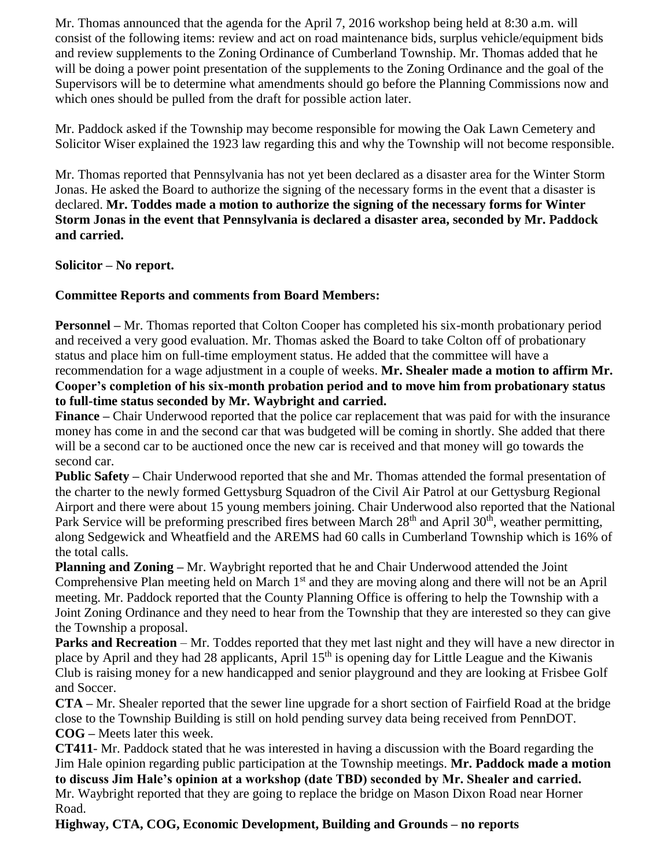Mr. Thomas announced that the agenda for the April 7, 2016 workshop being held at 8:30 a.m. will consist of the following items: review and act on road maintenance bids, surplus vehicle/equipment bids and review supplements to the Zoning Ordinance of Cumberland Township. Mr. Thomas added that he will be doing a power point presentation of the supplements to the Zoning Ordinance and the goal of the Supervisors will be to determine what amendments should go before the Planning Commissions now and which ones should be pulled from the draft for possible action later.

Mr. Paddock asked if the Township may become responsible for mowing the Oak Lawn Cemetery and Solicitor Wiser explained the 1923 law regarding this and why the Township will not become responsible.

Mr. Thomas reported that Pennsylvania has not yet been declared as a disaster area for the Winter Storm Jonas. He asked the Board to authorize the signing of the necessary forms in the event that a disaster is declared. **Mr. Toddes made a motion to authorize the signing of the necessary forms for Winter Storm Jonas in the event that Pennsylvania is declared a disaster area, seconded by Mr. Paddock and carried.**

**Solicitor – No report.**

# **Committee Reports and comments from Board Members:**

**Personnel –** Mr. Thomas reported that Colton Cooper has completed his six-month probationary period and received a very good evaluation. Mr. Thomas asked the Board to take Colton off of probationary status and place him on full-time employment status. He added that the committee will have a recommendation for a wage adjustment in a couple of weeks. **Mr. Shealer made a motion to affirm Mr. Cooper's completion of his six-month probation period and to move him from probationary status** 

**to full-time status seconded by Mr. Waybright and carried.**

**Finance –** Chair Underwood reported that the police car replacement that was paid for with the insurance money has come in and the second car that was budgeted will be coming in shortly. She added that there will be a second car to be auctioned once the new car is received and that money will go towards the second car.

**Public Safety –** Chair Underwood reported that she and Mr. Thomas attended the formal presentation of the charter to the newly formed Gettysburg Squadron of the Civil Air Patrol at our Gettysburg Regional Airport and there were about 15 young members joining. Chair Underwood also reported that the National Park Service will be preforming prescribed fires between March 28<sup>th</sup> and April 30<sup>th</sup>, weather permitting, along Sedgewick and Wheatfield and the AREMS had 60 calls in Cumberland Township which is 16% of the total calls.

**Planning and Zoning –** Mr. Waybright reported that he and Chair Underwood attended the Joint Comprehensive Plan meeting held on March 1<sup>st</sup> and they are moving along and there will not be an April meeting. Mr. Paddock reported that the County Planning Office is offering to help the Township with a Joint Zoning Ordinance and they need to hear from the Township that they are interested so they can give the Township a proposal.

**Parks and Recreation** – Mr. Toddes reported that they met last night and they will have a new director in place by April and they had 28 applicants, April 15<sup>th</sup> is opening day for Little League and the Kiwanis Club is raising money for a new handicapped and senior playground and they are looking at Frisbee Golf and Soccer.

**CTA –** Mr. Shealer reported that the sewer line upgrade for a short section of Fairfield Road at the bridge close to the Township Building is still on hold pending survey data being received from PennDOT. **COG –** Meets later this week.

**CT411**- Mr. Paddock stated that he was interested in having a discussion with the Board regarding the Jim Hale opinion regarding public participation at the Township meetings. **Mr. Paddock made a motion to discuss Jim Hale's opinion at a workshop (date TBD) seconded by Mr. Shealer and carried.** Mr. Waybright reported that they are going to replace the bridge on Mason Dixon Road near Horner Road.

**Highway, CTA, COG, Economic Development, Building and Grounds – no reports**